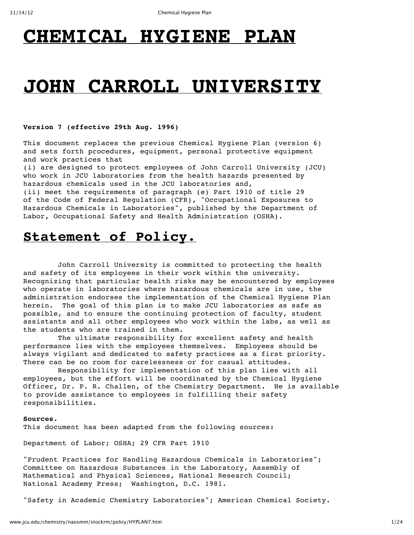## **CHEMICAL HYGIENE PLAN**

# **JOHN CARROLL UNIVERSITY**

## **Version 7 (effective 29th Aug. 1996)**

This document replaces the previous Chemical Hygiene Plan (version 6) and sets forth procedures, equipment, personal protective equipment and work practices that

(i) are designed to protect employees of John Carroll University (JCU) who work in JCU laboratories from the health hazards presented by hazardous chemicals used in the JCU laboratories and,

(ii) meet the requirements of paragraph (e) Part 1910 of title 29 of the Code of Federal Regulation (CFR), "Occupational Exposures to Hazardous Chemicals in Laboratories", published by the Department of Labor, Occupational Safety and Health Administration (OSHA).

## **Statement of Policy.**

John Carroll University is committed to protecting the health and safety of its employees in their work within the university. Recognizing that particular health risks may be encountered by employees who operate in laboratories where hazardous chemicals are in use, the administration endorses the implementation of the Chemical Hygiene Plan herein. The goal of this plan is to make JCU laboratories as safe as possible, and to ensure the continuing protection of faculty, student assistants and all other employees who work within the labs, as well as the students who are trained in them.

The ultimate responsibility for excellent safety and health performance lies with the employees themselves. Employees should be always vigilant and dedicated to safety practices as a first priority. There can be no room for carelessness or for casual attitudes.

Responsibility for implementation of this plan lies with all employees, but the effort will be coordinated by the Chemical Hygiene Officer, Dr. P. R. Challen, of the Chemistry Department. He is available to provide assistance to employees in fulfilling their safety responsibilities.

## **Sources.**

This document has been adapted from the following sources:

Department of Labor; OSHA; 29 CFR Part 1910

"Prudent Practices for Handling Hazardous Chemicals in Laboratories"; Committee on Hazardous Substances in the Laboratory, Assembly of Mathematical and Physical Sciences, National Research Council; National Academy Press; Washington, D.C. 1981.

"Safety in Academic Chemistry Laboratories"; American Chemical Society.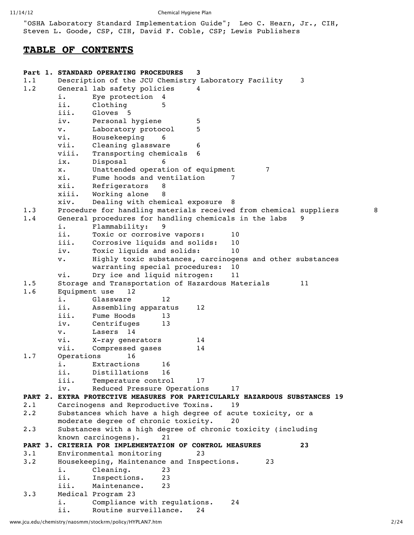"OSHA Laboratory Standard Implementation Guide"; Leo C. Hearn, Jr., CIH, Steven L. Goode, CSP, CIH, David F. Coble, CSP; Lewis Publishers

## **TABLE OF CONTENTS**

```
Part 1. STANDARD OPERATING PROCEDURES 3
1.1 Description of the JCU Chemistry Laboratory Facility 3
1.2 General lab safety policies 4
      i. Eye protection 4
      ii. Clothing 5
      iii. Gloves 5
      iv. Personal hygiene 5
      v. Laboratory protocol 5
      vi. Housekeeping 6
      vii. Cleaning glassware 6
      viii. Transporting chemicals 6
      ix. Disposal 6
      x. Unattended operation of equipment 7
      xi. Fume hoods and ventilation 7
      xii. Refrigerators 8
      xiii. Working alone 8
      xiv. Dealing with chemical exposure 8
1.3 Procedure for handling materials received from chemical suppliers 8
1.4 General procedures for handling chemicals in the labs 9
      i. Flammability: 9
      ii. Toxic or corrosive vapors: 10
      iii. Corrosive liquids and solids: 10
      iv. Toxic liquids and solids: 10
      v. Highly toxic substances, carcinogens and other substances
             warranting special procedures: 10
      vi. Dry ice and liquid nitrogen: 11
1.5 Storage and Transportation of Hazardous Materials 11
1.6 Equipment use 12
      i. Glassware 12
      ii. Assembling apparatus 12
      iii. Fume Hoods 13
      iv. Centrifuges 13
      v. Lasers 14
      vi. X-ray generators 14
      vii. Compressed gases 14
1.7 Operations 16
      i. Extractions 16
      ii. Distillations 16
      iii. Temperature control 17
      iv. Reduced Pressure Operations 17
PART 2. EXTRA PROTECTIVE MEASURES FOR PARTICULARLY HAZARDOUS SUBSTANCES 19
2.1 Carcinogens and Reproductive Toxins. 19
2.2 Substances which have a high degree of acute toxicity, or a
      moderate degree of chronic toxicity. 20
2.3 Substances with a high degree of chronic toxicity (including
      known carcinogens). 21
PART 3. CRITERIA FOR IMPLEMENTATION OF CONTROL MEASURES 23
3.1 Environmental monitoring 23
3.2 Housekeeping, Maintenance and Inspections. 23
      i. Cleaning. 23
      ii. Inspections. 23
      iii. Maintenance. 23
3.3 Medical Program 23
      i. Compliance with regulations. 24
      ii. Routine surveillance. 24
```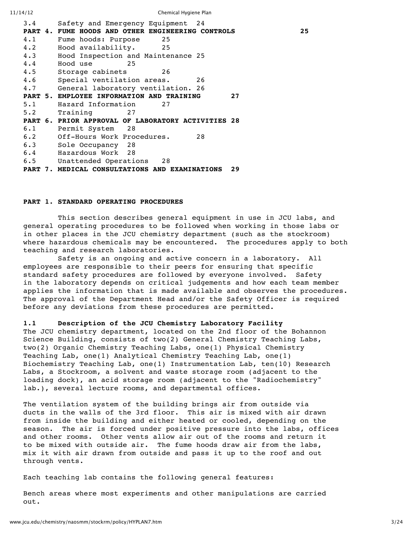| $3 \cdot 4$ | Safety and Emergency Equipment 24                    |    |
|-------------|------------------------------------------------------|----|
|             | PART 4. FUME HOODS AND OTHER ENGINEERING CONTROLS    | 25 |
|             | 4.1 Fume hoods: Purpose 25                           |    |
|             | 4.2 Hood availability. 25                            |    |
|             | 4.3 Hood Inspection and Maintenance 25               |    |
|             | 4.4 Hood use 25                                      |    |
|             | 4.5 Storage cabinets 26                              |    |
|             | 4.6 Special ventilation areas. 26                    |    |
|             | 4.7 General laboratory ventilation. 26               |    |
|             | PART 5. EMPLOYEE INFORMATION AND TRAINING<br>27      |    |
|             | 5.1 Hazard Information 27                            |    |
|             | 5.2 Training 27                                      |    |
|             | PART 6. PRIOR APPROVAL OF LABORATORY ACTIVITIES 28   |    |
|             | 6.1 Permit System 28                                 |    |
|             | 6.2 Off-Hours Work Procedures. 28                    |    |
|             | 6.3 Sole Occupancy 28                                |    |
|             | 6.4 Hazardous Work 28                                |    |
|             | 6.5 Unattended Operations 28                         |    |
|             | PART 7. MEDICAL CONSULTATIONS AND EXAMINATIONS<br>29 |    |
|             |                                                      |    |

## **PART 1. STANDARD OPERATING PROCEDURES**

This section describes general equipment in use in JCU labs, and general operating procedures to be followed when working in those labs or in other places in the JCU chemistry department (such as the stockroom) where hazardous chemicals may be encountered. The procedures apply to both teaching and research laboratories.

Safety is an ongoing and active concern in a laboratory. All employees are responsible to their peers for ensuring that specific standard safety procedures are followed by everyone involved. Safety in the laboratory depends on critical judgements and how each team member applies the information that is made available and observes the procedures. The approval of the Department Head and/or the Safety Officer is required before any deviations from these procedures are permitted.

## **1.1 Description of the JCU Chemistry Laboratory Facility**

The JCU chemistry department, located on the 2nd floor of the Bohannon Science Building, consists of two(2) General Chemistry Teaching Labs, two(2) Organic Chemistry Teaching Labs, one(1) Physical Chemistry Teaching Lab, one(1) Analytical Chemistry Teaching Lab, one(1) Biochemistry Teaching Lab, one(1) Instrumentation Lab, ten(10) Research Labs, a Stockroom, a solvent and waste storage room (adjacent to the loading dock), an acid storage room (adjacent to the "Radiochemistry" lab.), several lecture rooms, and departmental offices.

The ventilation system of the building brings air from outside via ducts in the walls of the 3rd floor. This air is mixed with air drawn from inside the building and either heated or cooled, depending on the season. The air is forced under positive pressure into the labs, offices and other rooms. Other vents allow air out of the rooms and return it to be mixed with outside air. The fume hoods draw air from the labs, mix it with air drawn from outside and pass it up to the roof and out through vents.

Each teaching lab contains the following general features:

Bench areas where most experiments and other manipulations are carried out.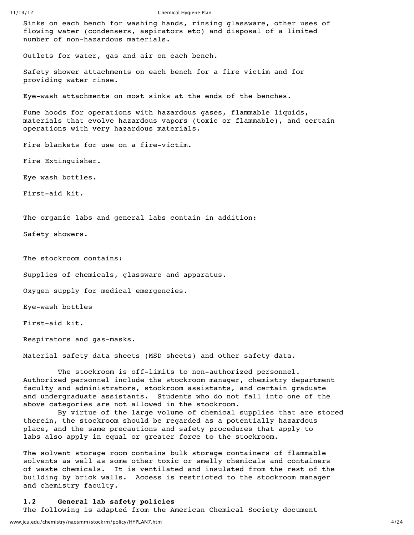Sinks on each bench for washing hands, rinsing glassware, other uses of flowing water (condensers, aspirators etc) and disposal of a limited number of non-hazardous materials.

Outlets for water, gas and air on each bench.

Safety shower attachments on each bench for a fire victim and for providing water rinse.

Eye-wash attachments on most sinks at the ends of the benches.

Fume hoods for operations with hazardous gases, flammable liquids, materials that evolve hazardous vapors (toxic or flammable), and certain operations with very hazardous materials.

Fire blankets for use on a fire-victim.

Fire Extinguisher.

Eye wash bottles.

First-aid kit.

The organic labs and general labs contain in addition:

Safety showers.

The stockroom contains:

Supplies of chemicals, glassware and apparatus.

Oxygen supply for medical emergencies.

Eye-wash bottles

First-aid kit.

Respirators and gas-masks.

Material safety data sheets (MSD sheets) and other safety data.

The stockroom is off-limits to non-authorized personnel. Authorized personnel include the stockroom manager, chemistry department faculty and administrators, stockroom assistants, and certain graduate and undergraduate assistants. Students who do not fall into one of the above categories are not allowed in the stockroom.

By virtue of the large volume of chemical supplies that are stored therein, the stockroom should be regarded as a potentially hazardous place, and the same precautions and safety procedures that apply to labs also apply in equal or greater force to the stockroom.

The solvent storage room contains bulk storage containers of flammable solvents as well as some other toxic or smelly chemicals and containers of waste chemicals. It is ventilated and insulated from the rest of the building by brick walls. Access is restricted to the stockroom manager and chemistry faculty.

## **1.2 General lab safety policies**

The following is adapted from the American Chemical Society document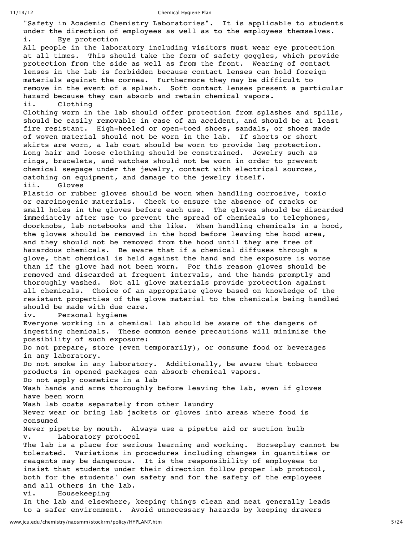"Safety in Academic Chemistry Laboratories". It is applicable to students under the direction of employees as well as to the employees themselves. i. Eye protection All people in the laboratory including visitors must wear eye protection at all times. This should take the form of safety goggles, which provide protection from the side as well as from the front. Wearing of contact lenses in the lab is forbidden because contact lenses can hold foreign materials against the cornea. Furthermore they may be difficult to remove in the event of a splash. Soft contact lenses present a particular hazard because they can absorb and retain chemical vapors. ii. Clothing Clothing worn in the lab should offer protection from splashes and spills, should be easily removable in case of an accident, and should be at least fire resistant. High-heeled or open-toed shoes, sandals, or shoes made of woven material should not be worn in the lab. If shorts or short skirts are worn, a lab coat should be worn to provide leg protection. Long hair and loose clothing should be constrained. Jewelry such as rings, bracelets, and watches should not be worn in order to prevent chemical seepage under the jewelry, contact with electrical sources, catching on equipment, and damage to the jewelry itself. iii. Gloves Plastic or rubber gloves should be worn when handling corrosive, toxic or carcinogenic materials. Check to ensure the absence of cracks or small holes in the gloves before each use. The gloves should be discarded immediately after use to prevent the spread of chemicals to telephones, doorknobs, lab notebooks and the like. When handling chemicals in a hood, the gloves should be removed in the hood before leaving the hood area, and they should not be removed from the hood until they are free of hazardous chemicals. Be aware that if a chemical diffuses through a glove, that chemical is held against the hand and the exposure is worse than if the glove had not been worn. For this reason gloves should be removed and discarded at frequent intervals, and the hands promptly and thoroughly washed. Not all glove materials provide protection against all chemicals. Choice of an appropriate glove based on knowledge of the resistant properties of the glove material to the chemicals being handled should be made with due care. iv. Personal hygiene Everyone working in a chemical lab should be aware of the dangers of ingesting chemicals. These common sense precautions will minimize the possibility of such exposure: Do not prepare, store (even temporarily), or consume food or beverages in any laboratory. Do not smoke in any laboratory. Additionally, be aware that tobacco products in opened packages can absorb chemical vapors. Do not apply cosmetics in a lab Wash hands and arms thoroughly before leaving the lab, even if gloves have been worn Wash lab coats separately from other laundry Never wear or bring lab jackets or gloves into areas where food is consumed Never pipette by mouth. Always use a pipette aid or suction bulb v. Laboratory protocol The lab is a place for serious learning and working. Horseplay cannot be tolerated. Variations in procedures including changes in quantities or reagents may be dangerous. It is the responsibility of employees to insist that students under their direction follow proper lab protocol, both for the students' own safety and for the safety of the employees and all others in the lab. vi. Housekeeping In the lab and elsewhere, keeping things clean and neat generally leads to a safer environment. Avoid unnecessary hazards by keeping drawers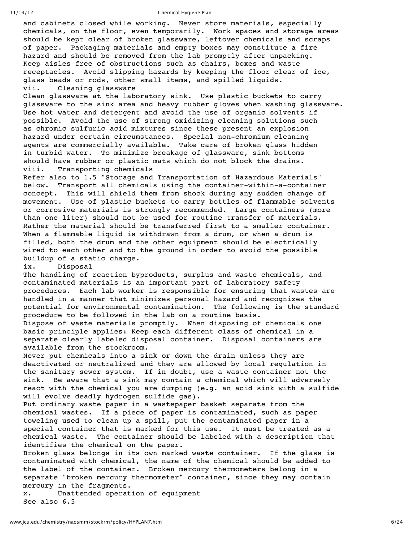and cabinets closed while working. Never store materials, especially chemicals, on the floor, even temporarily. Work spaces and storage areas should be kept clear of broken glassware, leftover chemicals and scraps of paper. Packaging materials and empty boxes may constitute a fire hazard and should be removed from the lab promptly after unpacking. Keep aisles free of obstructions such as chairs, boxes and waste receptacles. Avoid slipping hazards by keeping the floor clear of ice, glass beads or rods, other small items, and spilled liquids. vii. Cleaning glassware

Clean glassware at the laboratory sink. Use plastic buckets to carry glassware to the sink area and heavy rubber gloves when washing glassware. Use hot water and detergent and avoid the use of organic solvents if possible. Avoid the use of strong oxidizing cleaning solutions such as chromic sulfuric acid mixtures since these present an explosion hazard under certain circumstances. Special non-chromium cleaning agents are commercially available. Take care of broken glass hidden in turbid water. To minimize breakage of glassware, sink bottoms should have rubber or plastic mats which do not block the drains. viii. Transporting chemicals

Refer also to 1.5 "Storage and Transportation of Hazardous Materials" below. Transport all chemicals using the container-within-a-container concept. This will shield them from shock during any sudden change of movement. Use of plastic buckets to carry bottles of flammable solvents or corrosive materials is strongly recommended. Large containers (more than one liter) should not be used for routine transfer of materials. Rather the material should be transferred first to a smaller container. When a flammable liquid is withdrawn from a drum, or when a drum is filled, both the drum and the other equipment should be electrically wired to each other and to the ground in order to avoid the possible buildup of a static charge.

## ix. Disposal

The handling of reaction byproducts, surplus and waste chemicals, and contaminated materials is an important part of laboratory safety procedures. Each lab worker is responsible for ensuring that wastes are handled in a manner that minimizes personal hazard and recognizes the potential for environmental contamination. The following is the standard procedure to be followed in the lab on a routine basis.

Dispose of waste materials promptly. When disposing of chemicals one basic principle applies: Keep each different class of chemical in a separate clearly labeled disposal container. Disposal containers are available from the stockroom.

Never put chemicals into a sink or down the drain unless they are deactivated or neutralized and they are allowed by local regulation in the sanitary sewer system. If in doubt, use a waste container not the sink. Be aware that a sink may contain a chemical which will adversely react with the chemical you are dumping (e.g. an acid sink with a sulfide will evolve deadly hydrogen sulfide gas).

Put ordinary waste paper in a wastepaper basket separate from the chemical wastes. If a piece of paper is contaminated, such as paper toweling used to clean up a spill, put the contaminated paper in a special container that is marked for this use. It must be treated as a chemical waste. The container should be labeled with a description that identifies the chemical on the paper.

Broken glass belongs in its own marked waste container. If the glass is contaminated with chemical, the name of the chemical should be added to the label of the container. Broken mercury thermometers belong in a separate "broken mercury thermometer" container, since they may contain mercury in the fragments.

x. Unattended operation of equipment See also 6.5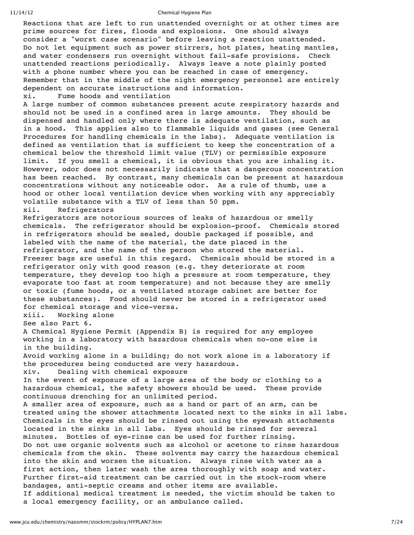11/14/12 Chemical Hygiene Plan Reactions that are left to run unattended overnight or at other times are prime sources for fires, floods and explosions. One should always consider a "worst case scenario" before leaving a reaction unattended. Do not let equipment such as power stirrers, hot plates, heating mantles, and water condensers run overnight without fail-safe provisions. Check unattended reactions periodically. Always leave a note plainly posted with a phone number where you can be reached in case of emergency. Remember that in the middle of the night emergency personnel are entirely dependent on accurate instructions and information. xi. Fume hoods and ventilation A large number of common substances present acute respiratory hazards and should not be used in a confined area in large amounts. They should be dispensed and handled only where there is adequate ventilation, such as in a hood. This applies also to flammable liquids and gases (see General Procedures for handling chemicals in the labs). Adequate ventilation is defined as ventilation that is sufficient to keep the concentration of a chemical below the threshold limit value (TLV) or permissible exposure limit. If you smell a chemical, it is obvious that you are inhaling it. However, odor does not necessarily indicate that a dangerous concentration has been reached. By contrast, many chemicals can be present at hazardous concentrations without any noticeable odor. As a rule of thumb, use a hood or other local ventilation device when working with any appreciably volatile substance with a TLV of less than 50 ppm. xii. Refrigerators Refrigerators are notorious sources of leaks of hazardous or smelly chemicals. The refrigerator should be explosion-proof. Chemicals stored in refrigerators should be sealed, double packaged if possible, and labeled with the name of the material, the date placed in the refrigerator, and the name of the person who stored the material. Freezer bags are useful in this regard. Chemicals should be stored in a refrigerator only with good reason (e.g. they deteriorate at room temperature, they develop too high a pressure at room temperature, they evaporate too fast at room temperature) and not because they are smelly or toxic (fume hoods, or a ventilated storage cabinet are better for these substances). Food should never be stored in a refrigerator used for chemical storage and vice-versa. xiii. Working alone See also Part 6. A Chemical Hygiene Permit (Appendix B) is required for any employee working in a laboratory with hazardous chemicals when no-one else is in the building. Avoid working alone in a building; do not work alone in a laboratory if the procedures being conducted are very hazardous. xiv. Dealing with chemical exposure In the event of exposure of a large area of the body or clothing to a hazardous chemical, the safety showers should be used. These provide continuous drenching for an unlimited period.

A smaller area of exposure, such as a hand or part of an arm, can be treated using the shower attachments located next to the sinks in all labs. Chemicals in the eyes should be rinsed out using the eyewash attachments located in the sinks in all labs. Eyes should be rinsed for several minutes. Bottles of eye-rinse can be used for further rinsing. Do not use organic solvents such as alcohol or acetone to rinse hazardous chemicals from the skin. These solvents may carry the hazardous chemical into the skin and worsen the situation. Always rinse with water as a first action, then later wash the area thoroughly with soap and water. Further first-aid treatment can be carried out in the stock-room where bandages, anti-septic creams and other items are available. If additional medical treatment is needed, the victim should be taken to a local emergency facility, or an ambulance called.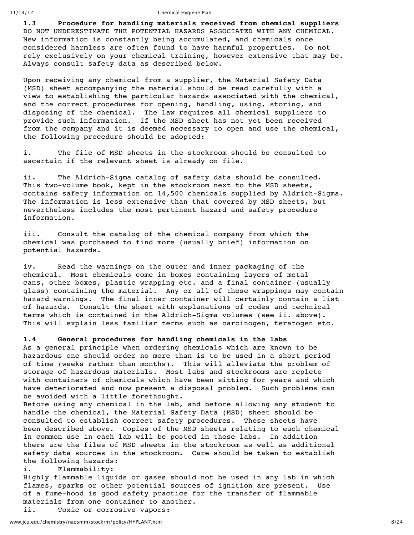**1.3 Procedure for handling materials received from chemical suppliers** DO NOT UNDERESTIMATE THE POTENTIAL HAZARDS ASSOCIATED WITH ANY CHEMICAL. New information is constantly being accumulated, and chemicals once considered harmless are often found to have harmful properties. Do not rely exclusively on your chemical training, however extensive that may be. Always consult safety data as described below.

Upon receiving any chemical from a supplier, the Material Safety Data (MSD) sheet accompanying the material should be read carefully with a view to establishing the particular hazards associated with the chemical, and the correct procedures for opening, handling, using, storing, and disposing of the chemical. The law requires all chemical suppliers to provide such information. If the MSD sheet has not yet been received from the company and it is deemed necessary to open and use the chemical, the following procedure should be adopted:

i. The file of MSD sheets in the stockroom should be consulted to ascertain if the relevant sheet is already on file.

ii. The Aldrich-Sigma catalog of safety data should be consulted. This two-volume book, kept in the stockroom next to the MSD sheets, contains safety information on 14,500 chemicals supplied by Aldrich-Sigma. The information is less extensive than that covered by MSD sheets, but nevertheless includes the most pertinent hazard and safety procedure information.

iii. Consult the catalog of the chemical company from which the chemical was purchased to find more (usually brief) information on potential hazards.

iv. Read the warnings on the outer and inner packaging of the chemical. Most chemicals come in boxes containing layers of metal cans, other boxes, plastic wrapping etc. and a final container (usually glass) containing the material. Any or all of these wrappings may contain hazard warnings. The final inner container will certainly contain a list of hazards. Consult the sheet with explanations of codes and technical terms which is contained in the Aldrich-Sigma volumes (see ii. above). This will explain less familiar terms such as carcinogen, teratogen etc.

## **1.4 General procedures for handling chemicals in the labs**

As a general principle when ordering chemicals which are known to be hazardous one should order no more than is to be used in a short period of time (weeks rather than months). This will alleviate the problem of storage of hazardous materials. Most labs and stockrooms are replete with containers of chemicals which have been sitting for years and which have deteriorated and now present a disposal problem. Such problems can be avoided with a little forethought.

Before using any chemical in the lab, and before allowing any student to handle the chemical, the Material Safety Data (MSD) sheet should be consulted to establish correct safety procedures. These sheets have been described above. Copies of the MSD sheets relating to each chemical in common use in each lab will be posted in those labs. In addition there are the files of MSD sheets in the stockroom as well as additional safety data sources in the stockroom. Care should be taken to establish the following hazards:

i. Flammability:

Highly flammable liquids or gases should not be used in any lab in which flames, sparks or other potential sources of ignition are present. Use of a fume-hood is good safety practice for the transfer of flammable materials from one container to another.

ii. Toxic or corrosive vapors: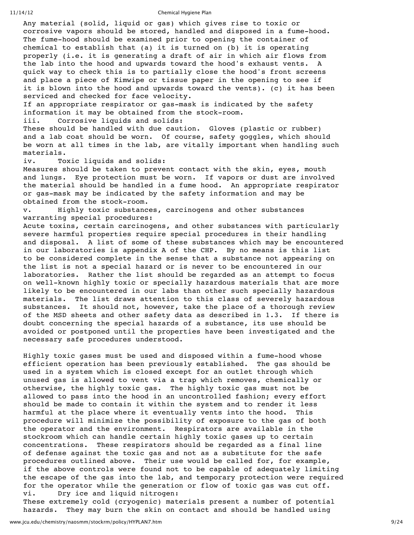Any material (solid, liquid or gas) which gives rise to toxic or corrosive vapors should be stored, handled and disposed in a fume-hood. The fume-hood should be examined prior to opening the container of chemical to establish that (a) it is turned on (b) it is operating properly (i.e. it is generating a draft of air in which air flows from the lab into the hood and upwards toward the hood's exhaust vents. A quick way to check this is to partially close the hood's front screens and place a piece of Kimwipe or tissue paper in the opening to see if it is blown into the hood and upwards toward the vents). (c) it has been serviced and checked for face velocity.

If an appropriate respirator or gas-mask is indicated by the safety information it may be obtained from the stock-room.

iii. Corrosive liquids and solids: These should be handled with due caution. Gloves (plastic or rubber) and a lab coat should be worn. Of course, safety goggles, which should

be worn at all times in the lab, are vitally important when handling such materials.

iv. Toxic liquids and solids:

Measures should be taken to prevent contact with the skin, eyes, mouth and lungs. Eye protection must be worn. If vapors or dust are involved the material should be handled in a fume hood. An appropriate respirator or gas-mask may be indicated by the safety information and may be obtained from the stock-room.

v. Highly toxic substances, carcinogens and other substances warranting special procedures:

Acute toxins, certain carcinogens, and other substances with particularly severe harmful properties require special procedures in their handling and disposal. A list of some of these substances which may be encountered in our laboratories is appendix A of the CHP. By no means is this list to be considered complete in the sense that a substance not appearing on the list is not a special hazard or is never to be encountered in our laboratories. Rather the list should be regarded as an attempt to focus on well-known highly toxic or specially hazardous materials that are more likely to be encountered in our labs than other such specially hazardous materials. The list draws attention to this class of severely hazardous substances. It should not, however, take the place of a thorough review of the MSD sheets and other safety data as described in 1.3. If there is doubt concerning the special hazards of a substance, its use should be avoided or postponed until the properties have been investigated and the necessary safe procedures understood.

Highly toxic gases must be used and disposed within a fume-hood whose efficient operation has been previously established. The gas should be used in a system which is closed except for an outlet through which unused gas is allowed to vent via a trap which removes, chemically or otherwise, the highly toxic gas. The highly toxic gas must not be allowed to pass into the hood in an uncontrolled fashion; every effort should be made to contain it within the system and to render it less harmful at the place where it eventually vents into the hood. This procedure will minimize the possibility of exposure to the gas of both the operator and the environment. Respirators are available in the stockroom which can handle certain highly toxic gases up to certain concentrations. These respirators should be regarded as a final line of defense against the toxic gas and not as a substitute for the safe procedures outlined above. Their use would be called for, for example, if the above controls were found not to be capable of adequately limiting the escape of the gas into the lab, and temporary protection were required for the operator while the generation or flow of toxic gas was cut off. vi. Dry ice and liquid nitrogen:

These extremely cold (cryogenic) materials present a number of potential hazards. They may burn the skin on contact and should be handled using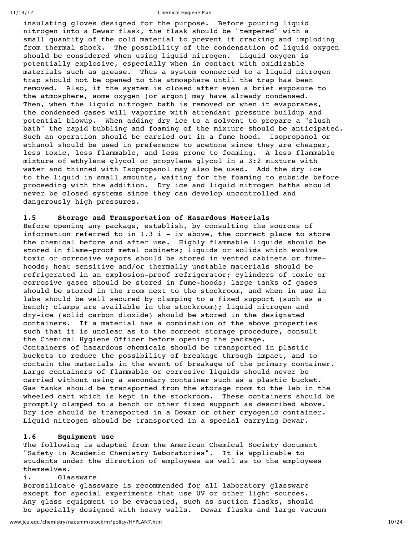insulating gloves designed for the purpose. Before pouring liquid nitrogen into a Dewar flask, the flask should be "tempered" with a small quantity of the cold material to prevent it cracking and imploding from thermal shock. The possibility of the condensation of liquid oxygen should be considered when using liquid nitrogen. Liquid oxygen is potentially explosive, especially when in contact with oxidizable materials such as grease. Thus a system connected to a liquid nitrogen trap should not be opened to the atmosphere until the trap has been removed. Also, if the system is closed after even a brief exposure to the atmosphere, some oxygen (or argon) may have already condensed. Then, when the liquid nitrogen bath is removed or when it evaporates, the condensed gases will vaporize with attendant pressure buildup and potential blowup. When adding dry ice to a solvent to prepare a "slush bath" the rapid bubbling and foaming of the mixture should be anticipated. Such an operation should be carried out in a fume hood. Isopropanol or ethanol should be used in preference to acetone since they are cheaper, less toxic, less flammable, and less prone to foaming. A less flammable mixture of ethylene glycol or propylene glycol in a 3:2 mixture with water and thinned with Isopropanol may also be used. Add the dry ice to the liquid in small amounts, waiting for the foaming to subside before proceeding with the addition. Dry ice and liquid nitrogen baths should never be closed systems since they can develop uncontrolled and dangerously high pressures.

## **1.5 Storage and Transportation of Hazardous Materials**

Before opening any package, establish, by consulting the sources of information referred to in 1.3 i - iv above, the correct place to store the chemical before and after use. Highly flammable liquids should be stored in flame-proof metal cabinets; liquids or solids which evolve toxic or corrosive vapors should be stored in vented cabinets or fumehoods; heat sensitive and/or thermally unstable materials should be refrigerated in an explosion-proof refrigerator; cylinders of toxic or corrosive gases should be stored in fume-hoods; large tanks of gases should be stored in the room next to the stockroom, and when in use in labs should be well secured by clamping to a fixed support (such as a bench; clamps are available in the stockroom); liquid nitrogen and dry-ice (solid carbon dioxide) should be stored in the designated containers. If a material has a combination of the above properties such that it is unclear as to the correct storage procedure, consult the Chemical Hygiene Officer before opening the package. Containers of hazardous chemicals should be transported in plastic buckets to reduce the possibility of breakage through impact, and to contain the materials in the event of breakage of the primary container. Large containers of flammable or corrosive liquids should never be carried without using a secondary container such as a plastic bucket. Gas tanks should be transported from the storage room to the lab in the wheeled cart which is kept in the stockroom. These containers should be promptly clamped to a bench or other fixed support as described above. Dry ice should be transported in a Dewar or other cryogenic container. Liquid nitrogen should be transported in a special carrying Dewar.

## **1.6 Equipment use**

The following is adapted from the American Chemical Society document "Safety in Academic Chemistry Laboratories". It is applicable to students under the direction of employees as well as to the employees themselves.

## i. Glassware

Borosilicate glassware is recommended for all laboratory glassware except for special experiments that use UV or other light sources. Any glass equipment to be evacuated, such as suction flasks, should be specially designed with heavy walls. Dewar flasks and large vacuum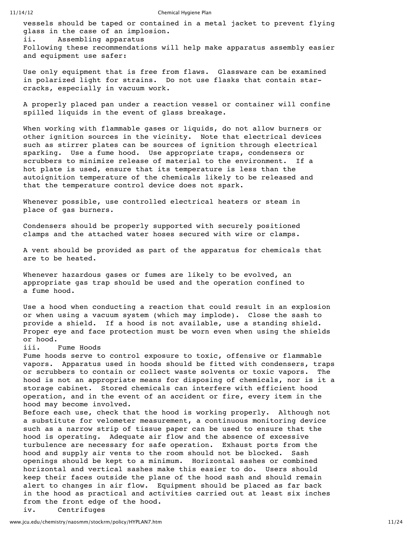vessels should be taped or contained in a metal jacket to prevent flying glass in the case of an implosion. ii. Assembling apparatus Following these recommendations will help make apparatus assembly easier and equipment use safer:

Use only equipment that is free from flaws. Glassware can be examined in polarized light for strains. Do not use flasks that contain starcracks, especially in vacuum work.

A properly placed pan under a reaction vessel or container will confine spilled liquids in the event of glass breakage.

When working with flammable gases or liquids, do not allow burners or other ignition sources in the vicinity. Note that electrical devices such as stirrer plates can be sources of ignition through electrical sparking. Use a fume hood. Use appropriate traps, condensers or scrubbers to minimize release of material to the environment. If a hot plate is used, ensure that its temperature is less than the autoignition temperature of the chemicals likely to be released and that the temperature control device does not spark.

Whenever possible, use controlled electrical heaters or steam in place of gas burners.

Condensers should be properly supported with securely positioned clamps and the attached water hoses secured with wire or clamps.

A vent should be provided as part of the apparatus for chemicals that are to be heated.

Whenever hazardous gases or fumes are likely to be evolved, an appropriate gas trap should be used and the operation confined to a fume hood.

Use a hood when conducting a reaction that could result in an explosion or when using a vacuum system (which may implode). Close the sash to provide a shield. If a hood is not available, use a standing shield. Proper eye and face protection must be worn even when using the shields or hood.

iii. Fume Hoods

Fume hoods serve to control exposure to toxic, offensive or flammable vapors. Apparatus used in hoods should be fitted with condensers, traps or scrubbers to contain or collect waste solvents or toxic vapors. The hood is not an appropriate means for disposing of chemicals, nor is it a storage cabinet. Stored chemicals can interfere with efficient hood operation, and in the event of an accident or fire, every item in the hood may become involved.

Before each use, check that the hood is working properly. Although not a substitute for velometer measurement, a continuous monitoring device such as a narrow strip of tissue paper can be used to ensure that the hood is operating. Adequate air flow and the absence of excessive turbulence are necessary for safe operation. Exhaust ports from the hood and supply air vents to the room should not be blocked. Sash openings should be kept to a minimum. Horizontal sashes or combined horizontal and vertical sashes make this easier to do. Users should keep their faces outside the plane of the hood sash and should remain alert to changes in air flow. Equipment should be placed as far back in the hood as practical and activities carried out at least six inches from the front edge of the hood. iv. Centrifuges

www.jcu.edu/chemistry/naosmm/stockrm/policy/HYPLAN7.htm 11/24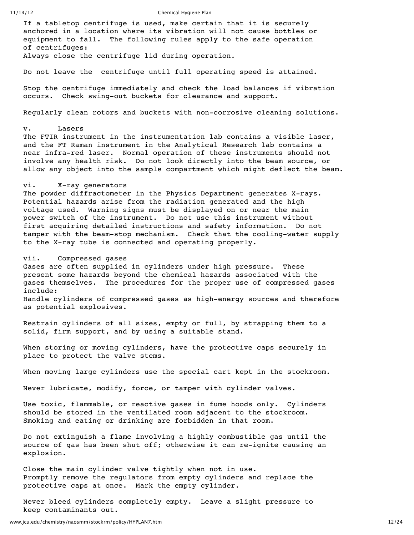If a tabletop centrifuge is used, make certain that it is securely anchored in a location where its vibration will not cause bottles or equipment to fall. The following rules apply to the safe operation of centrifuges: Always close the centrifuge lid during operation.

Do not leave the centrifuge until full operating speed is attained.

Stop the centrifuge immediately and check the load balances if vibration occurs. Check swing-out buckets for clearance and support.

Regularly clean rotors and buckets with non-corrosive cleaning solutions.

v. Lasers The FTIR instrument in the instrumentation lab contains a visible laser, and the FT Raman instrument in the Analytical Research lab contains a near infra-red laser. Normal operation of these instruments should not involve any health risk. Do not look directly into the beam source, or allow any object into the sample compartment which might deflect the beam.

## vi. X-ray generators

The powder diffractometer in the Physics Department generates X-rays. Potential hazards arise from the radiation generated and the high voltage used. Warning signs must be displayed on or near the main power switch of the instrument. Do not use this instrument without first acquiring detailed instructions and safety information. Do not tamper with the beam-stop mechanism. Check that the cooling-water supply to the X-ray tube is connected and operating properly.

## vii. Compressed gases

Gases are often supplied in cylinders under high pressure. These present some hazards beyond the chemical hazards associated with the gases themselves. The procedures for the proper use of compressed gases include: Handle cylinders of compressed gases as high-energy sources and therefore as potential explosives.

Restrain cylinders of all sizes, empty or full, by strapping them to a solid, firm support, and by using a suitable stand.

When storing or moving cylinders, have the protective caps securely in place to protect the valve stems.

When moving large cylinders use the special cart kept in the stockroom.

Never lubricate, modify, force, or tamper with cylinder valves.

Use toxic, flammable, or reactive gases in fume hoods only. Cylinders should be stored in the ventilated room adjacent to the stockroom. Smoking and eating or drinking are forbidden in that room.

Do not extinguish a flame involving a highly combustible gas until the source of gas has been shut off; otherwise it can re-ignite causing an explosion.

Close the main cylinder valve tightly when not in use. Promptly remove the regulators from empty cylinders and replace the protective caps at once. Mark the empty cylinder.

Never bleed cylinders completely empty. Leave a slight pressure to keep contaminants out.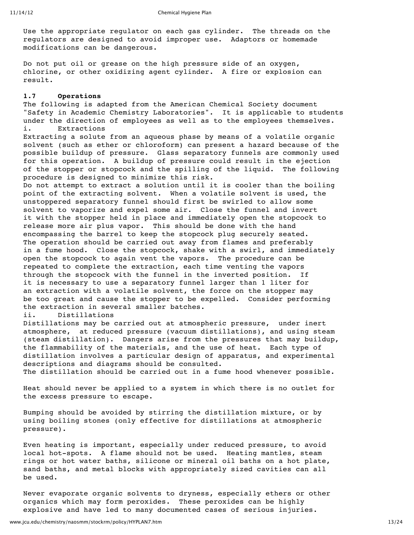Use the appropriate regulator on each gas cylinder. The threads on the regulators are designed to avoid improper use. Adaptors or homemade modifications can be dangerous.

Do not put oil or grease on the high pressure side of an oxygen, chlorine, or other oxidizing agent cylinder. A fire or explosion can result.

## **1.7 Operations**

The following is adapted from the American Chemical Society document "Safety in Academic Chemistry Laboratories". It is applicable to students under the direction of employees as well as to the employees themselves. i. Extractions

Extracting a solute from an aqueous phase by means of a volatile organic solvent (such as ether or chloroform) can present a hazard because of the possible buildup of pressure. Glass separatory funnels are commonly used for this operation. A buildup of pressure could result in the ejection of the stopper or stopcock and the spilling of the liquid. The following procedure is designed to minimize this risk.

Do not attempt to extract a solution until it is cooler than the boiling point of the extracting solvent. When a volatile solvent is used, the unstoppered separatory funnel should first be swirled to allow some solvent to vaporize and expel some air. Close the funnel and invert it with the stopper held in place and immediately open the stopcock to release more air plus vapor. This should be done with the hand encompassing the barrel to keep the stopcock plug securely seated. The operation should be carried out away from flames and preferably in a fume hood. Close the stopcock, shake with a swirl, and immediately open the stopcock to again vent the vapors. The procedure can be repeated to complete the extraction, each time venting the vapors through the stopcock with the funnel in the inverted position. If it is necessary to use a separatory funnel larger than 1 liter for an extraction with a volatile solvent, the force on the stopper may be too great and cause the stopper to be expelled. Consider performing the extraction in several smaller batches.

ii. Distillations

Distillations may be carried out at atmospheric pressure, under inert atmosphere, at reduced pressure (vacuum distillations), and using steam (steam distillation). Dangers arise from the pressures that may buildup, the flammability of the materials, and the use of heat. Each type of distillation involves a particular design of apparatus, and experimental descriptions and diagrams should be consulted.

The distillation should be carried out in a fume hood whenever possible.

Heat should never be applied to a system in which there is no outlet for the excess pressure to escape.

Bumping should be avoided by stirring the distillation mixture, or by using boiling stones (only effective for distillations at atmospheric pressure).

Even heating is important, especially under reduced pressure, to avoid local hot-spots. A flame should not be used. Heating mantles, steam rings or hot water baths, silicone or mineral oil baths on a hot plate, sand baths, and metal blocks with appropriately sized cavities can all be used.

Never evaporate organic solvents to dryness, especially ethers or other organics which may form peroxides. These peroxides can be highly explosive and have led to many documented cases of serious injuries.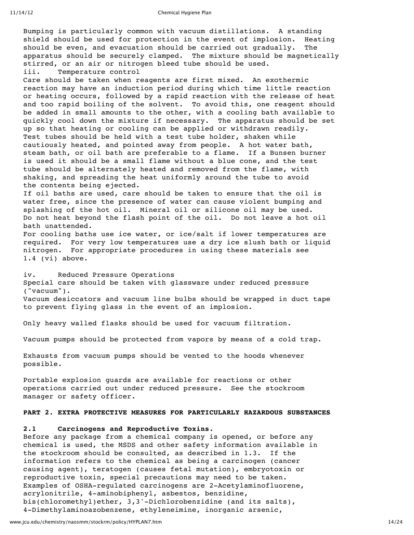Bumping is particularly common with vacuum distillations. A standing shield should be used for protection in the event of implosion. Heating should be even, and evacuation should be carried out gradually. The apparatus should be securely clamped. The mixture should be magnetically stirred, or an air or nitrogen bleed tube should be used. iii. Temperature control Care should be taken when reagents are first mixed. An exothermic reaction may have an induction period during which time little reaction or heating occurs, followed by a rapid reaction with the release of heat and too rapid boiling of the solvent. To avoid this, one reagent should be added in small amounts to the other, with a cooling bath available to quickly cool down the mixture if necessary. The apparatus should be set up so that heating or cooling can be applied or withdrawn readily. Test tubes should be held with a test tube holder, shaken while cautiously heated, and pointed away from people. A hot water bath, steam bath, or oil bath are preferable to a flame. If a Bunsen burner is used it should be a small flame without a blue cone, and the test tube should be alternately heated and removed from the flame, with shaking, and spreading the heat uniformly around the tube to avoid the contents being ejected. If oil baths are used, care should be taken to ensure that the oil is water free, since the presence of water can cause violent bumping and splashing of the hot oil. Mineral oil or silicone oil may be used. Do not heat beyond the flash point of the oil. Do not leave a hot oil bath unattended. For cooling baths use ice water, or ice/salt if lower temperatures are required. For very low temperatures use a dry ice slush bath or liquid nitrogen. For appropriate procedures in using these materials see 1.4 (vi) above. iv. Reduced Pressure Operations Special care should be taken with glassware under reduced pressure ("vacuum"). Vacuum desiccators and vacuum line bulbs should be wrapped in duct tape to prevent flying glass in the event of an implosion. Only heavy walled flasks should be used for vacuum filtration. Vacuum pumps should be protected from vapors by means of a cold trap. Exhausts from vacuum pumps should be vented to the hoods whenever possible. Portable explosion guards are available for reactions or other operations carried out under reduced pressure. See the stockroom manager or safety officer. **PART 2. EXTRA PROTECTIVE MEASURES FOR PARTICULARLY HAZARDOUS SUBSTANCES**

## **2.1 Carcinogens and Reproductive Toxins.**

Before any package from a chemical company is opened, or before any chemical is used, the MSDS and other safety information available in the stockroom should be consulted, as described in 1.3. If the information refers to the chemical as being a carcinogen (cancer causing agent), teratogen (causes fetal mutation), embryotoxin or reproductive toxin, special precautions may need to be taken. Examples of OSHA-regulated carcinogens are 2-Acetylaminofluorene, acrylonitrile, 4-aminobiphenyl, asbestos, benzidine, bis(chloromethyl)ether, 3,3'-Dichlorobenzidine (and its salts), 4-Dimethylaminoazobenzene, ethyleneimine, inorganic arsenic,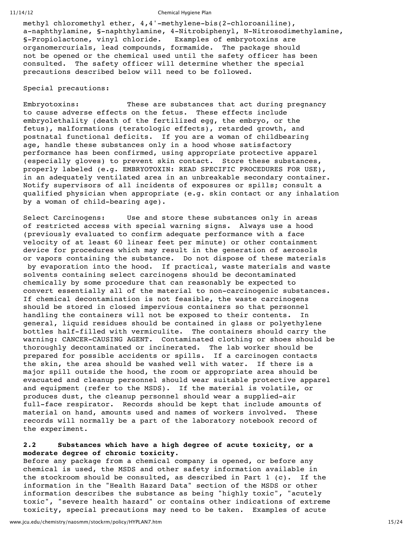methyl chloromethyl ether, 4,4'-methylene-bis(2-chloroaniline), a-naphthylamine, §-naphthylamine, 4-Nitrobiphenyl, N-Nitrosodimethylamine, §-Propiolactone, vinyl chloride. Examples of embryotoxins are organomercurials, lead compounds, formamide. The package should not be opened or the chemical used until the safety officer has been consulted. The safety officer will determine whether the special precautions described below will need to be followed.

## Special precautions:

Embryotoxins: These are substances that act during pregnancy to cause adverse effects on the fetus. These effects include embryolethality (death of the fertilized egg, the embryo, or the fetus), malformations (teratologic effects), retarded growth, and postnatal functional deficits. If you are a woman of childbearing age, handle these substances only in a hood whose satisfactory performance has been confirmed, using appropriate protective apparel (especially gloves) to prevent skin contact. Store these substances, properly labeled (e.g. EMBRYOTOXIN: READ SPECIFIC PROCEDURES FOR USE), in an adequately ventilated area in an unbreakable secondary container. Notify supervisors of all incidents of exposures or spills; consult a qualified physician when appropriate (e.g. skin contact or any inhalation by a woman of child-bearing age).

Select Carcinogens: Use and store these substances only in areas of restricted access with special warning signs. Always use a hood (previously evaluated to confirm adequate performance with a face velocity of at least 60 linear feet per minute) or other containment device for procedures which may result in the generation of aerosols or vapors containing the substance. Do not dispose of these materials by evaporation into the hood. If practical, waste materials and waste solvents containing select carcinogens should be decontaminated chemically by some procedure that can reasonably be expected to convert essentially all of the material to non-carcinogenic substances. If chemical decontamination is not feasible, the waste carcinogens should be stored in closed impervious containers so that personnel handling the containers will not be exposed to their contents. In general, liquid residues should be contained in glass or polyethylene bottles half-filled with vermiculite. The containers should carry the warning: CANCER-CAUSING AGENT. Contaminated clothing or shoes should be thoroughly decontaminated or incinerated. The lab worker should be prepared for possible accidents or spills. If a carcinogen contacts the skin, the area should be washed well with water. If there is a major spill outside the hood, the room or appropriate area should be evacuated and cleanup personnel should wear suitable protective apparel and equipment (refer to the MSDS). If the material is volatile, or produces dust, the cleanup personnel should wear a supplied-air full-face respirator. Records should be kept that include amounts of material on hand, amounts used and names of workers involved. These records will normally be a part of the laboratory notebook record of the experiment.

## **2.2 Substances which have a high degree of acute toxicity, or a moderate degree of chronic toxicity.**

Before any package from a chemical company is opened, or before any chemical is used, the MSDS and other safety information available in the stockroom should be consulted, as described in Part 1 (c). If the information in the "Health Hazard Data" section of the MSDS or other information describes the substance as being "highly toxic", "acutely toxic", "severe health hazard" or contains other indications of extreme toxicity, special precautions may need to be taken. Examples of acute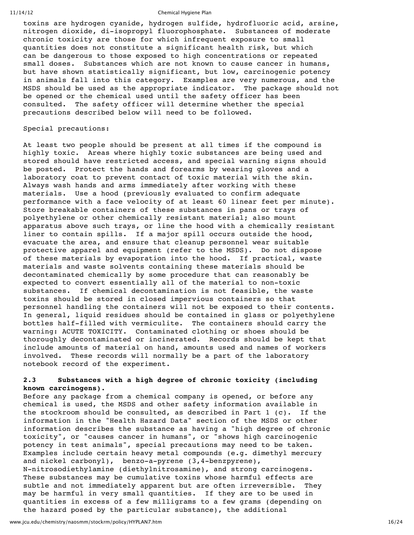toxins are hydrogen cyanide, hydrogen sulfide, hydrofluoric acid, arsine, nitrogen dioxide, di-isopropyl fluorophosphate. Substances of moderate chronic toxicity are those for which infrequent exposure to small quantities does not constitute a significant health risk, but which can be dangerous to those exposed to high concentrations or repeated small doses. Substances which are not known to cause cancer in humans, but have shown statistically significant, but low, carcinogenic potency in animals fall into this category. Examples are very numerous, and the MSDS should be used as the appropriate indicator. The package should not be opened or the chemical used until the safety officer has been consulted. The safety officer will determine whether the special precautions described below will need to be followed.

## Special precautions:

At least two people should be present at all times if the compound is highly toxic. Areas where highly toxic substances are being used and stored should have restricted access, and special warning signs should be posted. Protect the hands and forearms by wearing gloves and a laboratory coat to prevent contact of toxic material with the skin. Always wash hands and arms immediately after working with these materials. Use a hood (previously evaluated to confirm adequate performance with a face velocity of at least 60 linear feet per minute). Store breakable containers of these substances in pans or trays of polyethylene or other chemically resistant material; also mount apparatus above such trays, or line the hood with a chemically resistant liner to contain spills. If a major spill occurs outside the hood, evacuate the area, and ensure that cleanup personnel wear suitable protective apparel and equipment (refer to the MSDS). Do not dispose of these materials by evaporation into the hood. If practical, waste materials and waste solvents containing these materials should be decontaminated chemically by some procedure that can reasonably be expected to convert essentially all of the material to non-toxic substances. If chemical decontamination is not feasible, the waste toxins should be stored in closed impervious containers so that personnel handling the containers will not be exposed to their contents. In general, liquid residues should be contained in glass or polyethylene bottles half-filled with vermiculite. The containers should carry the warning: ACUTE TOXICITY. Contaminated clothing or shoes should be thoroughly decontaminated or incinerated. Records should be kept that include amounts of material on hand, amounts used and names of workers involved. These records will normally be a part of the laboratory notebook record of the experiment.

## **2.3 Substances with a high degree of chronic toxicity (including known carcinogens).**

Before any package from a chemical company is opened, or before any chemical is used, the MSDS and other safety information available in the stockroom should be consulted, as described in Part  $1$  (c). If the information in the "Health Hazard Data" section of the MSDS or other information describes the substance as having a "high degree of chronic toxicity", or "causes cancer in humans", or "shows high carcinogenic potency in test animals", special precautions may need to be taken. Examples include certain heavy metal compounds (e.g. dimethyl mercury and nickel carbonyl), benzo-a-pyrene (3,4-benzpyrene), N-nitrosodiethylamine (diethylnitrosamine), and strong carcinogens. These substances may be cumulative toxins whose harmful effects are subtle and not immediately apparent but are often irreversible. They may be harmful in very small quantities. If they are to be used in quantities in excess of a few milligrams to a few grams (depending on the hazard posed by the particular substance), the additional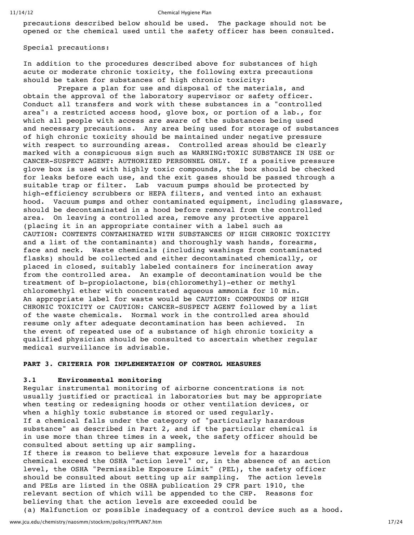precautions described below should be used. The package should not be opened or the chemical used until the safety officer has been consulted.

Special precautions:

In addition to the procedures described above for substances of high acute or moderate chronic toxicity, the following extra precautions should be taken for substances of high chronic toxicity:

Prepare a plan for use and disposal of the materials, and obtain the approval of the laboratory supervisor or safety officer. Conduct all transfers and work with these substances in a "controlled area": a restricted access hood, glove box, or portion of a lab., for which all people with access are aware of the substances being used and necessary precautions. Any area being used for storage of substances of high chronic toxicity should be maintained under negative pressure with respect to surrounding areas. Controlled areas should be clearly marked with a conspicuous sign such as WARNING:TOXIC SUBSTANCE IN USE or CANCER-SUSPECT AGENT: AUTHORIZED PERSONNEL ONLY. If a positive pressure glove box is used with highly toxic compounds, the box should be checked for leaks before each use, and the exit gases should be passed through a suitable trap or filter. Lab vacuum pumps should be protected by high-efficiency scrubbers or HEPA filters, and vented into an exhaust hood. Vacuum pumps and other contaminated equipment, including glassware, should be decontaminated in a hood before removal from the controlled area. On leaving a controlled area, remove any protective apparel (placing it in an appropriate container with a label such as CAUTION: CONTENTS CONTAMINATED WITH SUBSTANCES OF HIGH CHRONIC TOXICITY and a list of the contaminants) and thoroughly wash hands, forearms, face and neck. Waste chemicals (including washings from contaminated flasks) should be collected and either decontaminated chemically, or placed in closed, suitably labeled containers for incineration away from the controlled area. An example of decontamination would be the treatment of b-propiolactone, bis(chloromethyl)-ether or methyl chloromethyl ether with concentrated aqueous ammonia for 10 min. An appropriate label for waste would be CAUTION: COMPOUNDS OF HIGH CHRONIC TOXICITY or CAUTION: CANCER-SUSPECT AGENT followed by a list of the waste chemicals. Normal work in the controlled area should resume only after adequate decontamination has been achieved. In the event of repeated use of a substance of high chronic toxicity a qualified physician should be consulted to ascertain whether regular medical surveillance is advisable.

## **PART 3. CRITERIA FOR IMPLEMENTATION OF CONTROL MEASURES**

## **3.1 Environmental monitoring**

Regular instrumental monitoring of airborne concentrations is not usually justified or practical in laboratories but may be appropriate when testing or redesigning hoods or other ventilation devices, or when a highly toxic substance is stored or used regularly. If a chemical falls under the category of "particularly hazardous substance" as described in Part 2, and if the particular chemical is in use more than three times in a week, the safety officer should be consulted about setting up air sampling.

If there is reason to believe that exposure levels for a hazardous chemical exceed the OSHA "action level" or, in the absence of an action level, the OSHA "Permissible Exposure Limit" (PEL), the safety officer should be consulted about setting up air sampling. The action levels and PELs are listed in the OSHA publication 29 CFR part 1910, the relevant section of which will be appended to the CHP. Reasons for believing that the action levels are exceeded could be (a) Malfunction or possible inadequacy of a control device such as a hood.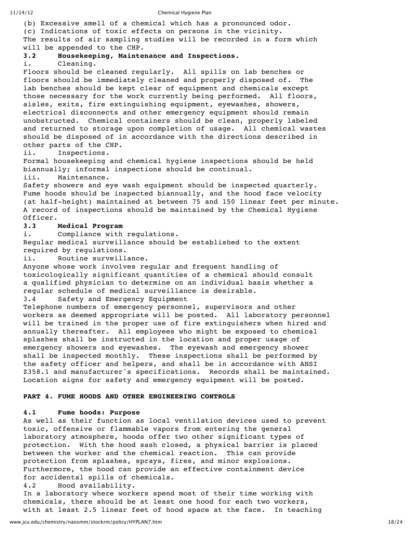| 11/14/12    | Chemical Hygiene Plan                                                                                                                       |  |  |  |
|-------------|---------------------------------------------------------------------------------------------------------------------------------------------|--|--|--|
|             | (b) Excessive smell of a chemical which has a pronounced odor.                                                                              |  |  |  |
|             | (c) Indications of toxic effects on persons in the vicinity.                                                                                |  |  |  |
|             | The results of air sampling studies will be recorded in a form which                                                                        |  |  |  |
| 3.2         | will be appended to the CHP.<br>Housekeeping, Maintenance and Inspections.                                                                  |  |  |  |
| i.          | Cleaning.                                                                                                                                   |  |  |  |
|             | Floors should be cleaned regularly. All spills on lab benches or                                                                            |  |  |  |
|             | floors should be immediately cleaned and properly disposed of. The                                                                          |  |  |  |
|             | lab benches should be kept clear of equipment and chemicals except                                                                          |  |  |  |
|             | those necessary for the work currently being performed. All floors,                                                                         |  |  |  |
|             | aisles, exits, fire extinguishing equipment, eyewashes, showers,                                                                            |  |  |  |
|             | electrical disconnects and other emergency equipment should remain<br>unobstructed. Chemical containers should be clean, properly labeled   |  |  |  |
|             | and returned to storage upon completion of usage. All chemical wastes                                                                       |  |  |  |
|             | should be disposed of in accordance with the directions described in                                                                        |  |  |  |
|             | other parts of the CHP.                                                                                                                     |  |  |  |
| ii.         | Inspections.                                                                                                                                |  |  |  |
|             | Formal housekeeping and chemical hygiene inspections should be held                                                                         |  |  |  |
|             | biannually; informal inspections should be continual.                                                                                       |  |  |  |
| iii.        | Maintenance.<br>Safety showers and eye wash equipment should be inspected quarterly.                                                        |  |  |  |
|             | Fume hoods should be inspected biannually, and the hood face velocity                                                                       |  |  |  |
|             | (at half-height) maintained at between 75 and 150 linear feet per minute.                                                                   |  |  |  |
|             | A record of inspections should be maintained by the Chemical Hygiene                                                                        |  |  |  |
| Officer.    |                                                                                                                                             |  |  |  |
| 3.3         | Medical Program                                                                                                                             |  |  |  |
| i.          | Compliance with regulations.                                                                                                                |  |  |  |
|             | Reqular medical surveillance should be established to the extent<br>required by requlations.                                                |  |  |  |
| ii.         | Routine surveillance.                                                                                                                       |  |  |  |
|             | Anyone whose work involves regular and frequent handling of                                                                                 |  |  |  |
|             | toxicologically significant quantities of a chemical should consult                                                                         |  |  |  |
|             | a qualified physician to determine on an individual basis whether a                                                                         |  |  |  |
|             | reqular schedule of medical surveillance is desirable.                                                                                      |  |  |  |
| $3 \cdot 4$ | Safety and Emergency Equipment                                                                                                              |  |  |  |
|             | Telephone numbers of emergency personnel, supervisors and other<br>workers as deemed appropriate will be posted. All laboratory personnel   |  |  |  |
|             | will be trained in the proper use of fire extinguishers when hired and                                                                      |  |  |  |
|             | annually thereafter. All employees who might be exposed to chemical                                                                         |  |  |  |
|             | splashes shall be instructed in the location and proper usage of                                                                            |  |  |  |
|             | emergency showers and eyewashes. The eyewash and emergency shower                                                                           |  |  |  |
|             | shall be inspected monthly. These inspections shall be performed by                                                                         |  |  |  |
|             | the safety officer and helpers, and shall be in accordance with ANSI                                                                        |  |  |  |
|             | Z358.1 and manufacturer's specifications. Records shall be maintained.<br>Location signs for safety and emergency equipment will be posted. |  |  |  |
|             |                                                                                                                                             |  |  |  |
|             | PART 4. FUME HOODS AND OTHER ENGINEERING CONTROLS                                                                                           |  |  |  |
|             |                                                                                                                                             |  |  |  |
| 4.1         | Fume hoods: Purpose                                                                                                                         |  |  |  |

As well as their function as local ventilation devices used to prevent toxic, offensive or flammable vapors from entering the general laboratory atmosphere, hoods offer two other significant types of protection. With the hood sash closed, a physical barrier is placed between the worker and the chemical reaction. This can provide protection from splashes, sprays, fires, and minor explosions. Furthermore, the hood can provide an effective containment device for accidental spills of chemicals.

4.2 Hood availability.

In a laboratory where workers spend most of their time working with chemicals, there should be at least one hood for each two workers, with at least 2.5 linear feet of hood space at the face. In teaching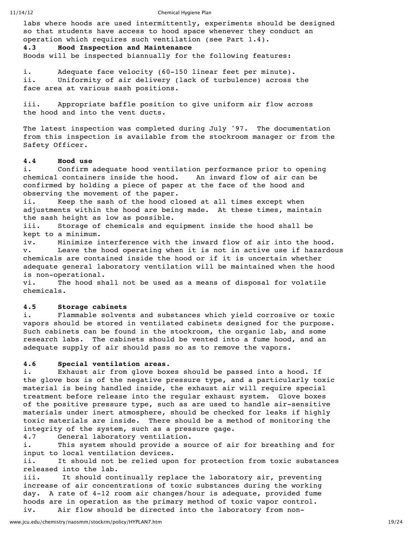labs where hoods are used intermittently, experiments should be designed so that students have access to hood space whenever they conduct an operation which requires such ventilation (see Part 1.4).

## **4.3 Hood Inspection and Maintenance**

Hoods will be inspected biannually for the following features:

i. Adequate face velocity (60-150 linear feet per minute). ii. Uniformity of air delivery (lack of turbulence) across the face area at various sash positions.

iii. Appropriate baffle position to give uniform air flow across the hood and into the vent ducts.

The latest inspection was completed during July '97. The documentation from this inspection is available from the stockroom manager or from the Safety Officer.

## **4.4 Hood use**

i. Confirm adequate hood ventilation performance prior to opening chemical containers inside the hood. An inward flow of air can be confirmed by holding a piece of paper at the face of the hood and observing the movement of the paper.

ii. Keep the sash of the hood closed at all times except when adjustments within the hood are being made. At these times, maintain the sash height as low as possible.

iii. Storage of chemicals and equipment inside the hood shall be kept to a minimum.

iv. Minimize interference with the inward flow of air into the hood. v. Leave the hood operating when it is not in active use if hazardous chemicals are contained inside the hood or if it is uncertain whether adequate general laboratory ventilation will be maintained when the hood is non-operational.

vi. The hood shall not be used as a means of disposal for volatile chemicals.

## **4.5 Storage cabinets**

i. Flammable solvents and substances which yield corrosive or toxic vapors should be stored in ventilated cabinets designed for the purpose. Such cabinets can be found in the stockroom, the organic lab, and some research labs. The cabinets should be vented into a fume hood, and an adequate supply of air should pass so as to remove the vapors.

## **4.6 Special ventilation areas.**

i. Exhaust air from glove boxes should be passed into a hood. If the glove box is of the negative pressure type, and a particularly toxic material is being handled inside, the exhaust air will require special treatment before release into the regular exhaust system. Glove boxes of the positive pressure type, such as are used to handle air-sensitive materials under inert atmosphere, should be checked for leaks if highly toxic materials are inside. There should be a method of monitoring the integrity of the system, such as a pressure gage.

4.7 General laboratory ventilation.

i. This system should provide a source of air for breathing and for input to local ventilation devices.

ii. It should not be relied upon for protection from toxic substances released into the lab.

iii. It should continually replace the laboratory air, preventing increase of air concentrations of toxic substances during the working day. A rate of 4-12 room air changes/hour is adequate, provided fume hoods are in operation as the primary method of toxic vapor control. iv. Air flow should be directed into the laboratory from non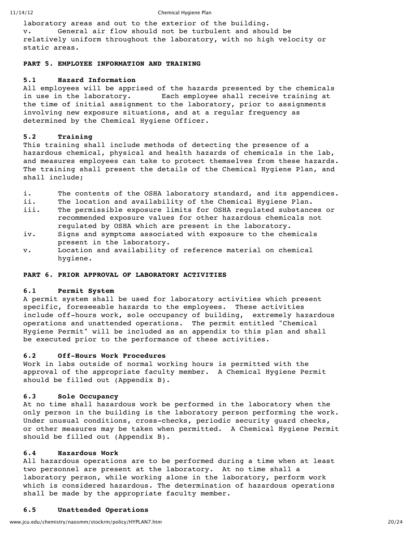laboratory areas and out to the exterior of the building. v. General air flow should not be turbulent and should be relatively uniform throughout the laboratory, with no high velocity or static areas.

## **PART 5. EMPLOYEE INFORMATION AND TRAINING**

## **5.1 Hazard Information**

All employees will be apprised of the hazards presented by the chemicals in use in the laboratory. Each employee shall receive training at the time of initial assignment to the laboratory, prior to assignments involving new exposure situations, and at a regular frequency as determined by the Chemical Hygiene Officer.

## **5.2 Training**

This training shall include methods of detecting the presence of a hazardous chemical, physical and health hazards of chemicals in the lab, and measures employees can take to protect themselves from these hazards. The training shall present the details of the Chemical Hygiene Plan, and shall include;

- i. The contents of the OSHA laboratory standard, and its appendices.
- ii. The location and availability of the Chemical Hygiene Plan.
- iii. The permissible exposure limits for OSHA regulated substances or recommended exposure values for other hazardous chemicals not regulated by OSHA which are present in the laboratory.
- iv. Signs and symptoms associated with exposure to the chemicals present in the laboratory.
- v. Location and availability of reference material on chemical hygiene.

## **PART 6. PRIOR APPROVAL OF LABORATORY ACTIVITIES**

## **6.1 Permit System**

A permit system shall be used for laboratory activities which present specific, foreseeable hazards to the employees. These activities include off-hours work, sole occupancy of building, extremely hazardous operations and unattended operations. The permit entitled "Chemical Hygiene Permit" will be included as an appendix to this plan and shall be executed prior to the performance of these activities.

## **6.2 Off-Hours Work Procedures**

Work in labs outside of normal working hours is permitted with the approval of the appropriate faculty member. A Chemical Hygiene Permit should be filled out (Appendix B).

## **6.3 Sole Occupancy**

At no time shall hazardous work be performed in the laboratory when the only person in the building is the laboratory person performing the work. Under unusual conditions, cross-checks, periodic security guard checks, or other measures may be taken when permitted. A Chemical Hygiene Permit should be filled out (Appendix B).

## **6.4 Hazardous Work**

All hazardous operations are to be performed during a time when at least two personnel are present at the laboratory. At no time shall a laboratory person, while working alone in the laboratory, perform work which is considered hazardous. The determination of hazardous operations shall be made by the appropriate faculty member.

## **6.5 Unattended Operations**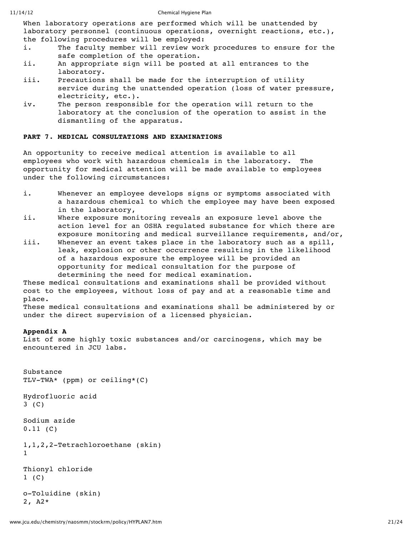When laboratory operations are performed which will be unattended by laboratory personnel (continuous operations, overnight reactions, etc.), the following procedures will be employed:

- i. The faculty member will review work procedures to ensure for the safe completion of the operation.
- ii. An appropriate sign will be posted at all entrances to the laboratory.
- iii. Precautions shall be made for the interruption of utility service during the unattended operation (loss of water pressure, electricity, etc.).
- iv. The person responsible for the operation will return to the laboratory at the conclusion of the operation to assist in the dismantling of the apparatus.

## **PART 7. MEDICAL CONSULTATIONS AND EXAMINATIONS**

An opportunity to receive medical attention is available to all employees who work with hazardous chemicals in the laboratory. The opportunity for medical attention will be made available to employees under the following circumstances:

- i. Whenever an employee develops signs or symptoms associated with a hazardous chemical to which the employee may have been exposed in the laboratory,
- ii. Where exposure monitoring reveals an exposure level above the action level for an OSHA regulated substance for which there are exposure monitoring and medical surveillance requirements, and/or,
- iii. Whenever an event takes place in the laboratory such as a spill, leak, explosion or other occurrence resulting in the likelihood of a hazardous exposure the employee will be provided an opportunity for medical consultation for the purpose of determining the need for medical examination.

These medical consultations and examinations shall be provided without cost to the employees, without loss of pay and at a reasonable time and place.

These medical consultations and examinations shall be administered by or under the direct supervision of a licensed physician.

## **Appendix A**

List of some highly toxic substances and/or carcinogens, which may be encountered in JCU labs.

```
Substance
TLV-TWA* (ppm) or ceiling*(C)
Hydrofluoric acid
3 (C)
Sodium azide
0.11 (C)
1,1,2,2-Tetrachloroethane (skin)
1
Thionyl chloride
1 (C)
o-Toluidine (skin)
2, A2*
```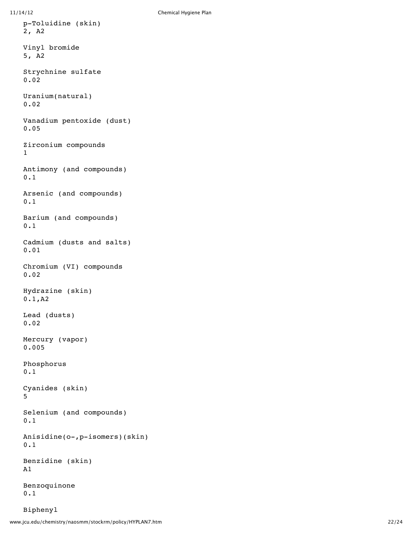```
11/14/12 Chemical Hygiene Plan
   p-Toluidine (skin)
  2, A2
  Vinyl bromide
   5, A2
   Strychnine sulfate
   0.02
   Uranium(natural)
   0.02
  Vanadium pentoxide (dust)
   0.05
   Zirconium compounds
   1
  Antimony (and compounds)
   0.1
  Arsenic (and compounds)
   0.1
   Barium (and compounds)
   0.1
  Cadmium (dusts and salts)
   0.01
  Chromium (VI) compounds
   0.02
  Hydrazine (skin)
   0.1,A2
  Lead (dusts)
   0.02
  Mercury (vapor)
   0.005
  Phosphorus
   0.1
   Cyanides (skin)
   5
   Selenium (and compounds)
   0.1
  Anisidine(o-,p-isomers)(skin)
   0.1
  Benzidine (skin)
  A1
   Benzoquinone
   0.1
```

```
Biphenyl
```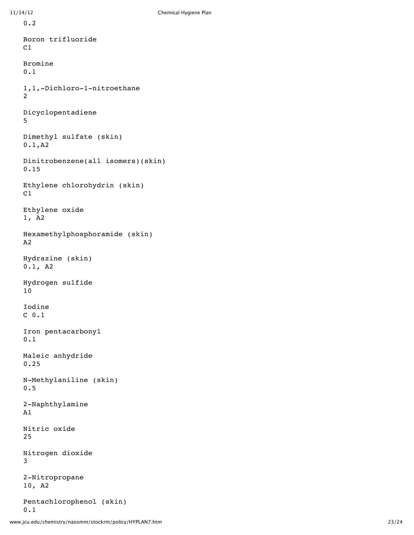0.2 Boron trifluoride  $C1$ Bromine 0.1 1,1,-Dichloro-1-nitroethane 2 Dicyclopentadiene 5 Dimethyl sulfate (skin) 0.1,A2 Dinitrobenzene(all isomers)(skin) 0.15 Ethylene chlorohydrin (skin) C1 Ethylene oxide 1, A2 Hexamethylphosphoramide (skin) A2 Hydrazine (skin)  $0.1, A2$ Hydrogen sulfide 10 Iodine C 0.1 Iron pentacarbonyl 0.1 Maleic anhydride 0.25 N-Methylaniline (skin) 0.5 2-Naphthylamine A1 Nitric oxide 25 Nitrogen dioxide 3 2-Nitropropane 10, A2 Pentachlorophenol (skin) 0.1